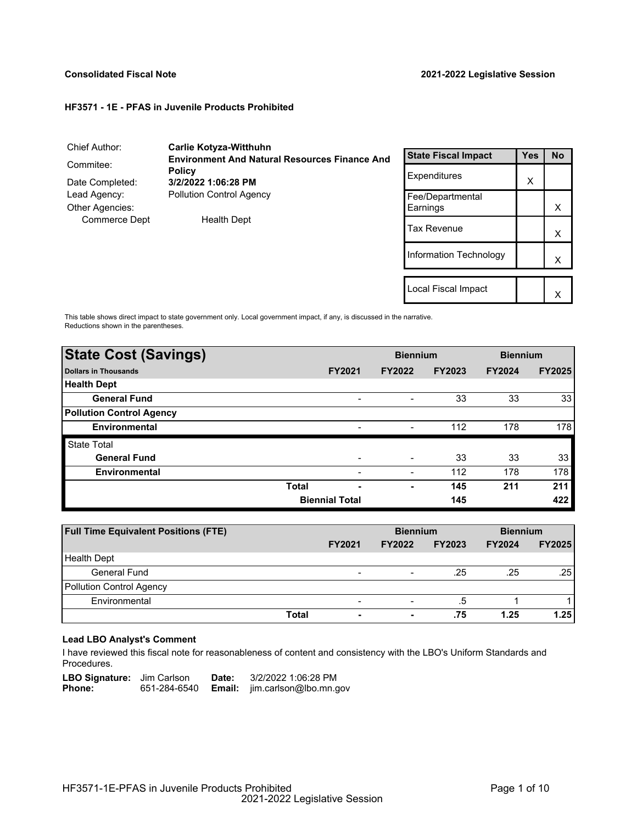### **Consolidated Fiscal Note 2021-2022 Legislative Session**

X

#### **HF3571 - 1E - PFAS in Juvenile Products Prohibited**

| Chief Author:        | <b>Carlie Kotyza-Witthuhn</b>                        |                        |            |           |
|----------------------|------------------------------------------------------|------------------------|------------|-----------|
|                      | <b>Environment And Natural Resources Finance And</b> |                        | <b>Yes</b> | <b>No</b> |
| Commitee:            | <b>Policy</b>                                        | Expenditures           |            |           |
| Date Completed:      | 3/2/2022 1:06:28 PM                                  |                        | X          |           |
| Lead Agency:         | <b>Pollution Control Agency</b>                      | Fee/Departmental       |            |           |
| Other Agencies:      |                                                      | Earnings               |            | X         |
| <b>Commerce Dept</b> | <b>Health Dept</b>                                   | <b>Tax Revenue</b>     |            | X         |
|                      |                                                      | Information Technology |            | x         |
|                      |                                                      |                        |            |           |
|                      |                                                      | Local Fiscal Impact    |            | $\lambda$ |

This table shows direct impact to state government only. Local government impact, if any, is discussed in the narrative. Reductions shown in the parentheses.

| <b>State Cost (Savings)</b>     |                       |                | <b>Biennium</b> |               | <b>Biennium</b> |               |
|---------------------------------|-----------------------|----------------|-----------------|---------------|-----------------|---------------|
| <b>Dollars in Thousands</b>     |                       | <b>FY2021</b>  | <b>FY2022</b>   | <b>FY2023</b> | <b>FY2024</b>   | <b>FY2025</b> |
| <b>Health Dept</b>              |                       |                |                 |               |                 |               |
| <b>General Fund</b>             |                       |                | -               | 33            | 33              | 33            |
| <b>Pollution Control Agency</b> |                       |                |                 |               |                 |               |
| <b>Environmental</b>            |                       |                |                 | 112           | 178             | 178           |
| <b>State Total</b>              |                       |                |                 |               |                 |               |
| <b>General Fund</b>             |                       | $\blacksquare$ |                 | 33            | 33              | 33            |
| <b>Environmental</b>            |                       |                |                 | 112           | 178             | 178           |
|                                 | <b>Total</b>          | -              | ٠               | 145           | 211             | 211           |
|                                 | <b>Biennial Total</b> |                |                 | 145           |                 | 422           |

| <b>Full Time Equivalent Positions (FTE)</b> |       |                          | <b>Biennium</b>                                                                                                                                   |               | <b>Biennium</b> |               |
|---------------------------------------------|-------|--------------------------|---------------------------------------------------------------------------------------------------------------------------------------------------|---------------|-----------------|---------------|
|                                             |       | <b>FY2021</b>            | <b>FY2022</b>                                                                                                                                     | <b>FY2023</b> | <b>FY2024</b>   | <b>FY2025</b> |
| <b>Health Dept</b>                          |       |                          |                                                                                                                                                   |               |                 |               |
| General Fund                                |       | $\qquad \qquad$          | $\hskip1.6pt\hskip1.6pt\hskip1.6pt\hskip1.6pt\hskip1.6pt\hskip1.6pt\hskip1.6pt\hskip1.6pt\hskip1.6pt\hskip1.6pt\hskip1.6pt\hskip1.6pt\hskip1.6pt$ | .25           | .25             | .25           |
| <b>Pollution Control Agency</b>             |       |                          |                                                                                                                                                   |               |                 |               |
| Environmental                               |       | $\overline{\phantom{a}}$ | $\,$                                                                                                                                              | .5            |                 |               |
|                                             | Total | $\blacksquare$           | ۰                                                                                                                                                 | .75           | 1.25            | 1.25          |

# **Lead LBO Analyst's Comment**

-

I have reviewed this fiscal note for reasonableness of content and consistency with the LBO's Uniform Standards and Procedures.

LBO Signature: Jim Carlson Date: 3/2/2022 1:06:28 PM<br>Phone: 651-284-6540 **Email:** jim.carlson@lbo.mn.g **Email:** jim.carlson@lbo.mn.gov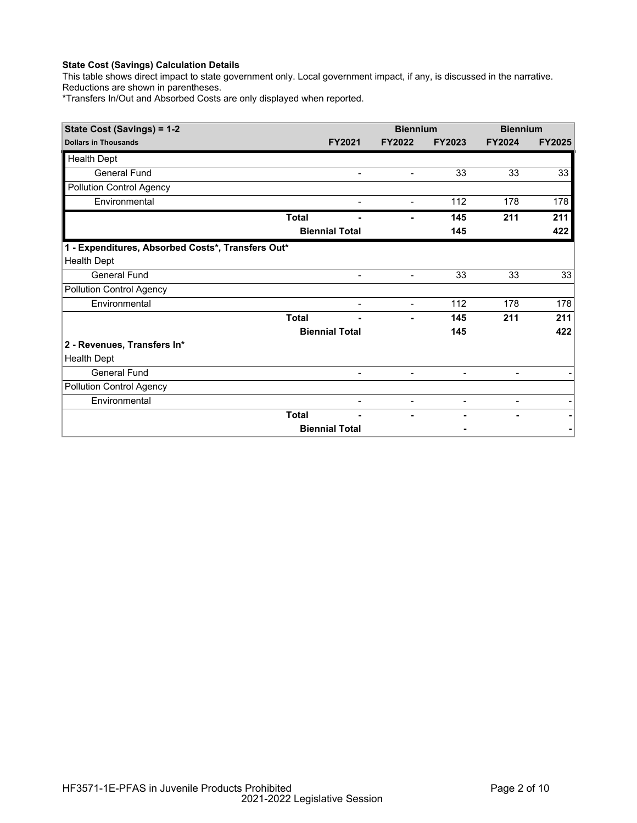This table shows direct impact to state government only. Local government impact, if any, is discussed in the narrative. Reductions are shown in parentheses.

\*Transfers In/Out and Absorbed Costs are only displayed when reported.

| State Cost (Savings) = 1-2                        |              |                          | <b>Biennium</b>          |                          | <b>Biennium</b>          |               |
|---------------------------------------------------|--------------|--------------------------|--------------------------|--------------------------|--------------------------|---------------|
| <b>Dollars in Thousands</b>                       |              | <b>FY2021</b>            | <b>FY2022</b>            | <b>FY2023</b>            | <b>FY2024</b>            | <b>FY2025</b> |
| <b>Health Dept</b>                                |              |                          |                          |                          |                          |               |
| <b>General Fund</b>                               |              | $\blacksquare$           | $\overline{\phantom{a}}$ | 33                       | 33                       | 33            |
| <b>Pollution Control Agency</b>                   |              |                          |                          |                          |                          |               |
| Environmental                                     |              |                          | $\overline{\phantom{a}}$ | 112                      | 178                      | 178           |
|                                                   | <b>Total</b> |                          |                          | 145                      | 211                      | 211           |
|                                                   |              | <b>Biennial Total</b>    |                          | 145                      |                          | 422           |
| 1 - Expenditures, Absorbed Costs*, Transfers Out* |              |                          |                          |                          |                          |               |
| <b>Health Dept</b>                                |              |                          |                          |                          |                          |               |
| <b>General Fund</b>                               |              | $\blacksquare$           | $\blacksquare$           | 33                       | 33                       | 33            |
| <b>Pollution Control Agency</b>                   |              |                          |                          |                          |                          |               |
| Environmental                                     |              | $\overline{\phantom{a}}$ | $\blacksquare$           | 112                      | 178                      | 178           |
|                                                   | <b>Total</b> |                          | ۰                        | 145                      | 211                      | 211           |
|                                                   |              | <b>Biennial Total</b>    |                          | 145                      |                          | 422           |
| 2 - Revenues, Transfers In*                       |              |                          |                          |                          |                          |               |
| <b>Health Dept</b>                                |              |                          |                          |                          |                          |               |
| <b>General Fund</b>                               |              | $\overline{a}$           | $\blacksquare$           | $\overline{\phantom{a}}$ | $\overline{\phantom{a}}$ |               |
| <b>Pollution Control Agency</b>                   |              |                          |                          |                          |                          |               |
| Environmental                                     |              | $\overline{\phantom{0}}$ | $\overline{\phantom{a}}$ | $\blacksquare$           | -                        |               |
|                                                   | <b>Total</b> |                          |                          |                          |                          |               |
|                                                   |              | <b>Biennial Total</b>    |                          |                          |                          |               |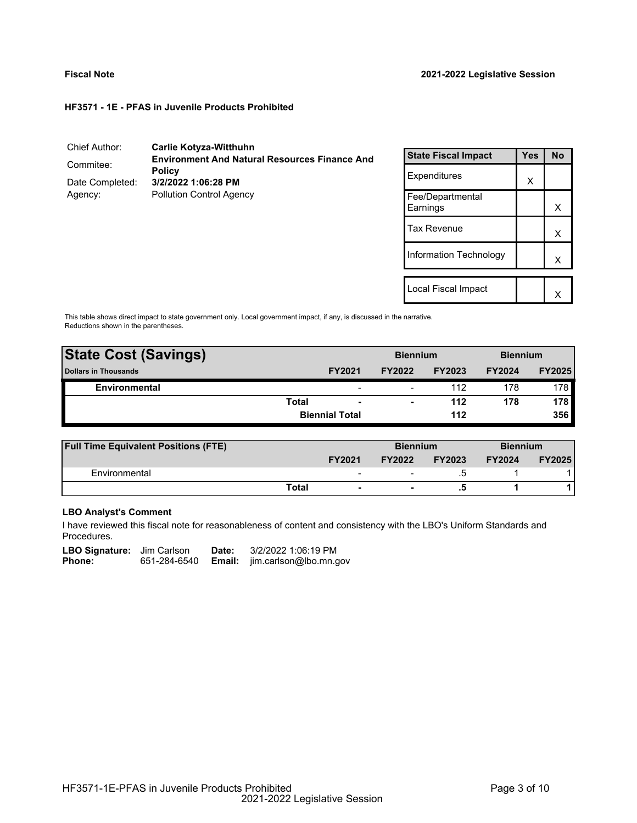# **HF3571 - 1E - PFAS in Juvenile Products Prohibited**

## Chief Author: **Carlie Kotyza-Witthuhn** Commitee: **Environment And Natural Resources Finance And Policy** Date Completed: **3/2/2022 1:06:28 PM** Agency: Pollution Control Agency

| <b>State Fiscal Impact</b>   | Yes | <b>No</b> |
|------------------------------|-----|-----------|
| Expenditures                 | X   |           |
| Fee/Departmental<br>Earnings |     | x         |
| <b>Tax Revenue</b>           |     | X         |
| Information Technology       |     | x         |
|                              |     |           |
| Local Fiscal Impact          |     |           |

This table shows direct impact to state government only. Local government impact, if any, is discussed in the narrative. Reductions shown in the parentheses.

| <b>State Cost (Savings)</b> |              |                          | <b>Biennium</b> |               | <b>Biennium</b> |                  |
|-----------------------------|--------------|--------------------------|-----------------|---------------|-----------------|------------------|
| <b>Dollars in Thousands</b> |              | <b>FY2021</b>            | <b>FY2022</b>   | <b>FY2023</b> | <b>FY2024</b>   | <b>FY2025</b>    |
| Environmental               |              | $\overline{\phantom{0}}$ | -               | 112           | 178             | 178 <sup>1</sup> |
|                             | <b>Total</b> | $\overline{\phantom{a}}$ | ۰               | 112           | 178             | 178              |
|                             |              | <b>Biennial Total</b>    |                 | 112           |                 | 356              |
|                             |              |                          |                 |               |                 |                  |

| <b>Full Time Equivalent Positions (FTE)</b> |                          |               | <b>Biennium</b> |               | <b>Biennium</b> |
|---------------------------------------------|--------------------------|---------------|-----------------|---------------|-----------------|
|                                             | <b>FY2021</b>            | <b>FY2022</b> | <b>FY2023</b>   | <b>FY2024</b> | <b>FY2025</b>   |
| Environmental                               | $\overline{\phantom{a}}$ |               |                 |               |                 |
|                                             | Total<br>$\blacksquare$  |               |                 |               |                 |

# **LBO Analyst's Comment**

I have reviewed this fiscal note for reasonableness of content and consistency with the LBO's Uniform Standards and Procedures.

| <b>LBO Signature:</b> Jim Carlson |              | Date: | 3/2/2022 1:06:19 PM                  |
|-----------------------------------|--------------|-------|--------------------------------------|
| Phone:                            | 651-284-6540 |       | <b>Email:</b> jim.carlson@lbo.mn.gov |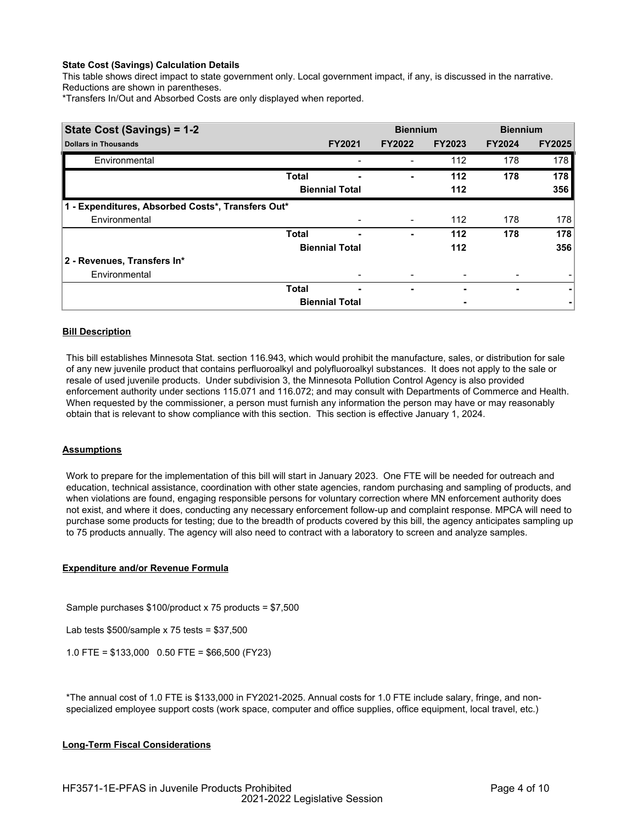This table shows direct impact to state government only. Local government impact, if any, is discussed in the narrative. Reductions are shown in parentheses.

\*Transfers In/Out and Absorbed Costs are only displayed when reported.

| State Cost (Savings) = 1-2                        |              |                       | <b>Biennium</b> |               | <b>Biennium</b> |               |
|---------------------------------------------------|--------------|-----------------------|-----------------|---------------|-----------------|---------------|
| <b>Dollars in Thousands</b>                       |              | <b>FY2021</b>         | <b>FY2022</b>   | <b>FY2023</b> | <b>FY2024</b>   | <b>FY2025</b> |
| Environmental                                     |              |                       |                 | 112           | 178             | 178           |
|                                                   | <b>Total</b> | -                     | -               | 112           | 178             | 178           |
|                                                   |              | <b>Biennial Total</b> |                 | 112           |                 | 356           |
| 1 - Expenditures, Absorbed Costs*, Transfers Out* |              |                       |                 |               |                 |               |
| Environmental                                     |              |                       | -               | 112           | 178             | 178           |
|                                                   | <b>Total</b> | -                     |                 | 112           | 178             | 178           |
|                                                   |              | <b>Biennial Total</b> |                 | 112           |                 | 356           |
| 2 - Revenues, Transfers In*                       |              |                       |                 |               |                 |               |
| Environmental                                     |              |                       |                 |               |                 |               |
|                                                   | <b>Total</b> | ٠                     | ٠               | ٠             | ۰               | ۰             |
|                                                   |              | <b>Biennial Total</b> |                 |               |                 |               |

# **Bill Description**

This bill establishes Minnesota Stat. section 116.943, which would prohibit the manufacture, sales, or distribution for sale of any new juvenile product that contains perfluoroalkyl and polyfluoroalkyl substances. It does not apply to the sale or resale of used juvenile products. Under subdivision 3, the Minnesota Pollution Control Agency is also provided enforcement authority under sections 115.071 and 116.072; and may consult with Departments of Commerce and Health. When requested by the commissioner, a person must furnish any information the person may have or may reasonably obtain that is relevant to show compliance with this section. This section is effective January 1, 2024.

### **Assumptions**

Work to prepare for the implementation of this bill will start in January 2023. One FTE will be needed for outreach and education, technical assistance, coordination with other state agencies, random purchasing and sampling of products, and when violations are found, engaging responsible persons for voluntary correction where MN enforcement authority does not exist, and where it does, conducting any necessary enforcement follow-up and complaint response. MPCA will need to purchase some products for testing; due to the breadth of products covered by this bill, the agency anticipates sampling up to 75 products annually. The agency will also need to contract with a laboratory to screen and analyze samples.

### **Expenditure and/or Revenue Formula**

Sample purchases \$100/product x 75 products = \$7,500

Lab tests \$500/sample x 75 tests = \$37,500

1.0 FTE = \$133,000 0.50 FTE = \$66,500 (FY23)

\*The annual cost of 1.0 FTE is \$133,000 in FY2021-2025. Annual costs for 1.0 FTE include salary, fringe, and nonspecialized employee support costs (work space, computer and office supplies, office equipment, local travel, etc.)

### **Long-Term Fiscal Considerations**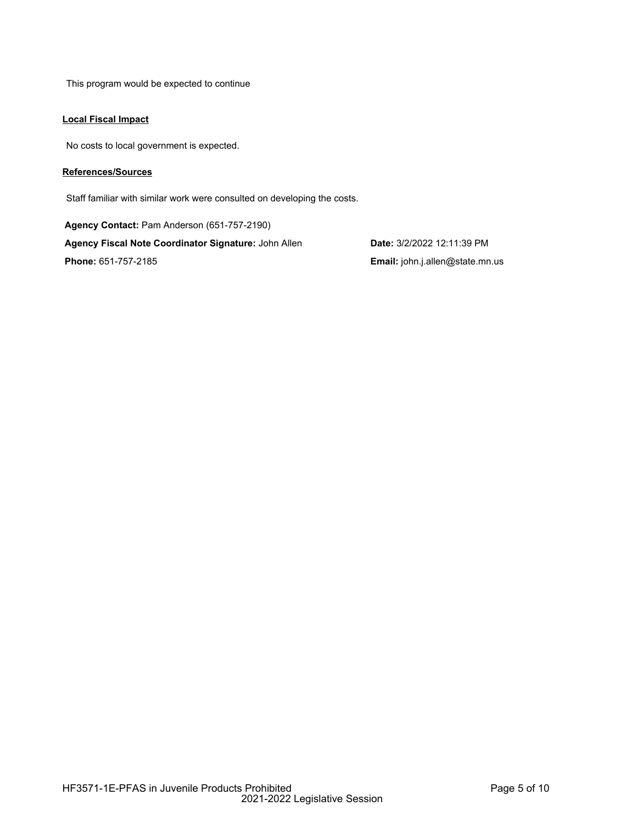This program would be expected to continue

# **Local Fiscal Impact**

No costs to local government is expected.

# **References/Sources**

Staff familiar with similar work were consulted on developing the costs.

**Agency Contact:** Pam Anderson (651-757-2190) **Agency Fiscal Note Coordinator Signature:** John Allen **Date:** 3/2/2022 12:11:39 PM **Phone:** 651-757-2185 **Email:** john.j.allen@state.mn.us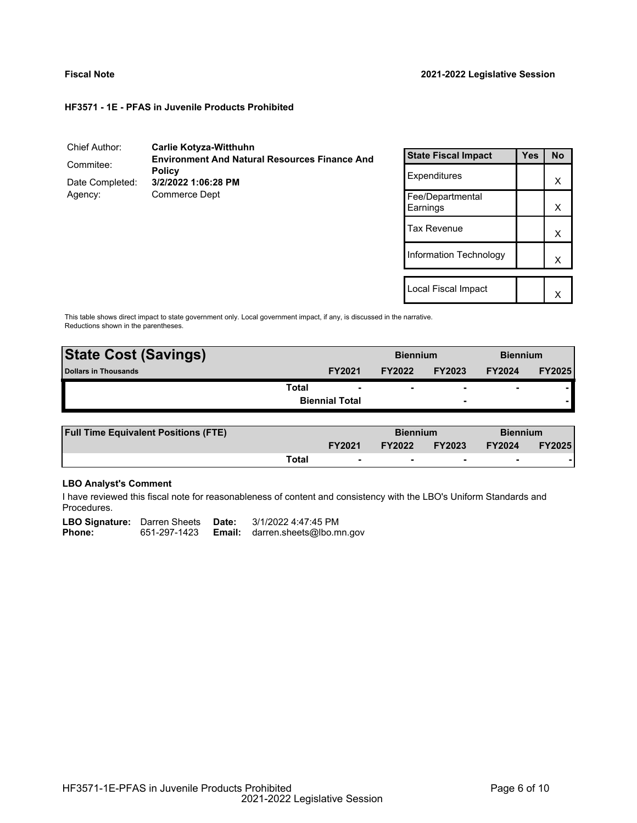### **HF3571 - 1E - PFAS in Juvenile Products Prohibited**

| Chief Author:              | <b>Carlie Kotyza-Witthuhn</b>                                         |
|----------------------------|-----------------------------------------------------------------------|
| Commitee:                  | <b>Environment And Natural Resources Finance And</b><br><b>Policy</b> |
| Date Completed:<br>Agency: | 3/2/2022 1:06:28 PM<br>Commerce Dept                                  |

| <b>State Fiscal Impact</b>   | Yes | <b>No</b> |
|------------------------------|-----|-----------|
| Expenditures                 |     | x         |
| Fee/Departmental<br>Earnings |     | х         |
| <b>Tax Revenue</b>           |     | x         |
| Information Technology       |     | x         |
|                              |     |           |
| Local Fiscal Impact          |     |           |

This table shows direct impact to state government only. Local government impact, if any, is discussed in the narrative. Reductions shown in the parentheses.

| <b>State Cost (Savings)</b> |                       |               | <b>Biennium</b>          |                | <b>Biennium</b> |  |
|-----------------------------|-----------------------|---------------|--------------------------|----------------|-----------------|--|
| <b>Dollars in Thousands</b> | <b>FY2021</b>         | <b>FY2022</b> | <b>FY2023</b>            | <b>FY2024</b>  | <b>FY2025</b>   |  |
| <b>Total</b>                | $\blacksquare$        | -             | $\overline{\phantom{a}}$ | $\blacksquare$ |                 |  |
|                             | <b>Biennial Total</b> |               | $\overline{\phantom{0}}$ |                |                 |  |
|                             |                       |               |                          |                |                 |  |

| <b>Full Time Equivalent Positions (FTE)</b> |       |                          | <b>Biennium</b> |                          | <b>Biennium</b> |               |
|---------------------------------------------|-------|--------------------------|-----------------|--------------------------|-----------------|---------------|
|                                             |       | <b>FY2021</b>            | <b>FY2022</b>   | <b>FY2023</b>            | <b>FY2024</b>   | <b>FY2025</b> |
|                                             | Total | $\overline{\phantom{0}}$ |                 | $\overline{\phantom{0}}$ |                 |               |

# **LBO Analyst's Comment**

I have reviewed this fiscal note for reasonableness of content and consistency with the LBO's Uniform Standards and Procedures.

| <b>LBO Signature:</b> Darren Sheets Date: |              | 3/1/2022 4:47:45 PM                    |
|-------------------------------------------|--------------|----------------------------------------|
| <b>Phone:</b>                             | 651-297-1423 | <b>Email:</b> darren.sheets@lbo.mn.gov |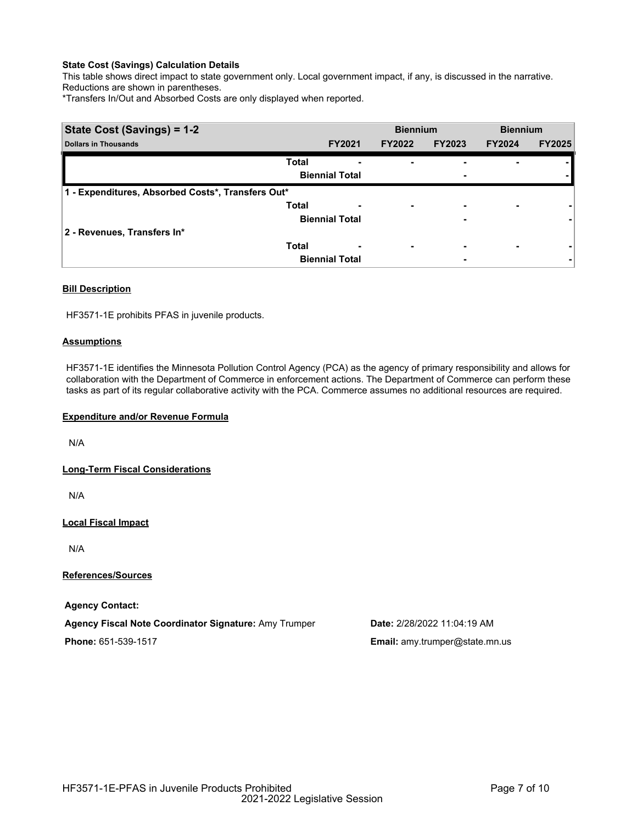This table shows direct impact to state government only. Local government impact, if any, is discussed in the narrative. Reductions are shown in parentheses.

\*Transfers In/Out and Absorbed Costs are only displayed when reported.

| State Cost (Savings) = 1-2                        |              | <b>Biennium</b>       |                          | <b>Biennium</b>          |               |               |
|---------------------------------------------------|--------------|-----------------------|--------------------------|--------------------------|---------------|---------------|
| <b>Dollars in Thousands</b>                       |              | <b>FY2021</b>         | <b>FY2022</b>            | <b>FY2023</b>            | <b>FY2024</b> | <b>FY2025</b> |
|                                                   | <b>Total</b> |                       |                          |                          |               |               |
|                                                   |              | <b>Biennial Total</b> |                          | ۰                        |               |               |
| 1 - Expenditures, Absorbed Costs*, Transfers Out* |              |                       |                          |                          |               |               |
|                                                   | <b>Total</b> | ٠                     | ۰                        | $\overline{\phantom{0}}$ | ۰             |               |
|                                                   |              | <b>Biennial Total</b> |                          | ٠                        |               |               |
| 2 - Revenues, Transfers In*                       |              |                       |                          |                          |               |               |
|                                                   | <b>Total</b> | ٠                     | $\overline{\phantom{0}}$ | ۰                        | ۰             |               |
|                                                   |              | <b>Biennial Total</b> |                          | ۰                        |               | ۰             |

# **Bill Description**

HF3571-1E prohibits PFAS in juvenile products.

# **Assumptions**

HF3571-1E identifies the Minnesota Pollution Control Agency (PCA) as the agency of primary responsibility and allows for collaboration with the Department of Commerce in enforcement actions. The Department of Commerce can perform these tasks as part of its regular collaborative activity with the PCA. Commerce assumes no additional resources are required.

### **Expenditure and/or Revenue Formula**

N/A

**Long-Term Fiscal Considerations**

N/A

**Local Fiscal Impact**

N/A

**References/Sources**

**Agency Contact:**

**Agency Fiscal Note Coordinator Signature:** Amy Trumper **Date:** 2/28/2022 11:04:19 AM

**Phone:** 651-539-1517 **Email:** amy.trumper@state.mn.us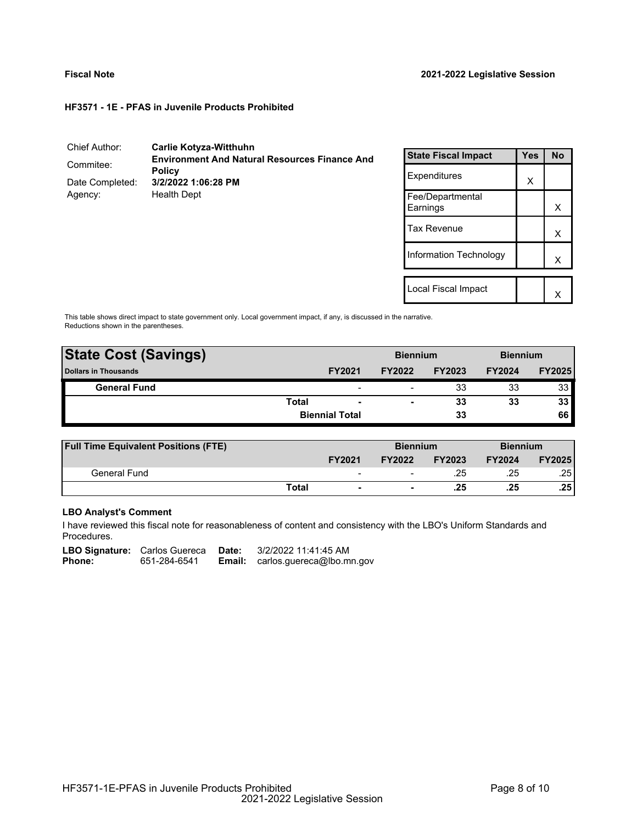### **HF3571 - 1E - PFAS in Juvenile Products Prohibited**

| Chief Author:              | <b>Carlie Kotyza-Witthuhn</b>                                         |
|----------------------------|-----------------------------------------------------------------------|
| Commitee:                  | <b>Environment And Natural Resources Finance And</b><br><b>Policy</b> |
| Date Completed:<br>Agency: | 3/2/2022 1:06:28 PM<br><b>Health Dept</b>                             |

| <b>State Fiscal Impact</b>   | <b>Yes</b> | <b>No</b> |
|------------------------------|------------|-----------|
| Expenditures                 | X          |           |
| Fee/Departmental<br>Earnings |            | x         |
| <b>Tax Revenue</b>           |            | X         |
| Information Technology       |            | X         |
|                              |            |           |
| Local Fiscal Impact          |            |           |

This table shows direct impact to state government only. Local government impact, if any, is discussed in the narrative. Reductions shown in the parentheses.

| <b>State Cost (Savings)</b> |              | <b>Biennium</b>       |               | <b>Biennium</b> |               |               |
|-----------------------------|--------------|-----------------------|---------------|-----------------|---------------|---------------|
| <b>Dollars in Thousands</b> |              | <b>FY2021</b>         | <b>FY2022</b> | <b>FY2023</b>   | <b>FY2024</b> | <b>FY2025</b> |
| <b>General Fund</b>         |              | -                     | -             | 33              | 33            | 33            |
|                             | <b>Total</b> | -                     | ۰             | 33              | 33            | 33            |
|                             |              | <b>Biennial Total</b> |               | 33              |               | 66            |
|                             |              |                       |               |                 |               |               |

| <b>Full Time Equivalent Positions (FTE)</b> |       |                 | <b>Biennium</b> |               | <b>Biennium</b> |               |
|---------------------------------------------|-------|-----------------|-----------------|---------------|-----------------|---------------|
|                                             |       | <b>FY2021</b>   | <b>FY2022</b>   | <b>FY2023</b> | <b>FY2024</b>   | <b>FY2025</b> |
| General Fund                                |       | $\qquad \qquad$ | -               | .25           | .25             | .25           |
|                                             | Total | $\blacksquare$  | ۰               | .25           | .25             | .25           |

# **LBO Analyst's Comment**

I have reviewed this fiscal note for reasonableness of content and consistency with the LBO's Uniform Standards and Procedures.

|               | <b>LBO Signature:</b> Carlos Guereca | Date: | 3/2/2022 11:41:45 AM                      |
|---------------|--------------------------------------|-------|-------------------------------------------|
| <b>Phone:</b> | 651-284-6541                         |       | <b>Email:</b> $carlos.guereca@lbo.mn.gov$ |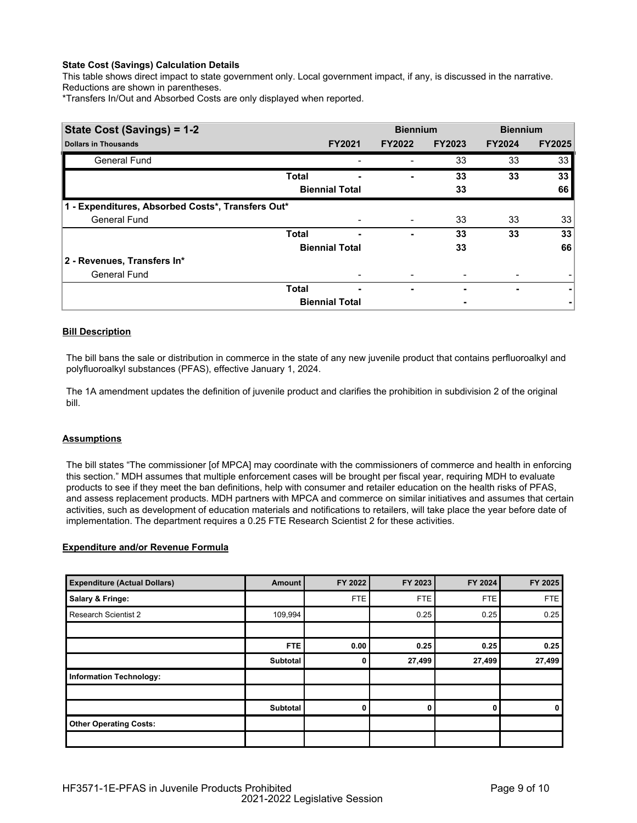This table shows direct impact to state government only. Local government impact, if any, is discussed in the narrative. Reductions are shown in parentheses.

\*Transfers In/Out and Absorbed Costs are only displayed when reported.

| State Cost (Savings) = 1-2                        |              |                       | <b>Biennium</b> |               | <b>Biennium</b> |               |
|---------------------------------------------------|--------------|-----------------------|-----------------|---------------|-----------------|---------------|
| <b>Dollars in Thousands</b>                       |              | <b>FY2021</b>         | <b>FY2022</b>   | <b>FY2023</b> | <b>FY2024</b>   | <b>FY2025</b> |
| <b>General Fund</b>                               |              |                       |                 | 33            | 33              | 33            |
|                                                   | <b>Total</b> |                       | -               | 33            | 33              | 33            |
|                                                   |              | <b>Biennial Total</b> |                 | 33            |                 | 66            |
| 1 - Expenditures, Absorbed Costs*, Transfers Out* |              |                       |                 |               |                 |               |
| <b>General Fund</b>                               |              |                       |                 | 33            | 33              | 33            |
|                                                   | <b>Total</b> | -                     | ۰               | 33            | 33              | 33            |
|                                                   |              | <b>Biennial Total</b> |                 | 33            |                 | 66            |
| 2 - Revenues, Transfers In*                       |              |                       |                 |               |                 |               |
| <b>General Fund</b>                               |              |                       |                 |               |                 |               |
|                                                   | <b>Total</b> | -                     | ۰               |               | ۰               | ۰             |
|                                                   |              | <b>Biennial Total</b> |                 |               |                 |               |

# **Bill Description**

The bill bans the sale or distribution in commerce in the state of any new juvenile product that contains perfluoroalkyl and polyfluoroalkyl substances (PFAS), effective January 1, 2024.

The 1A amendment updates the definition of juvenile product and clarifies the prohibition in subdivision 2 of the original bill.

### **Assumptions**

The bill states "The commissioner [of MPCA] may coordinate with the commissioners of commerce and health in enforcing this section." MDH assumes that multiple enforcement cases will be brought per fiscal year, requiring MDH to evaluate products to see if they meet the ban definitions, help with consumer and retailer education on the health risks of PFAS, and assess replacement products. MDH partners with MPCA and commerce on similar initiatives and assumes that certain activities, such as development of education materials and notifications to retailers, will take place the year before date of implementation. The department requires a 0.25 FTE Research Scientist 2 for these activities.

# **Expenditure and/or Revenue Formula**

| <b>Expenditure (Actual Dollars)</b> | Amount          | FY 2022    | FY 2023 | FY 2024    | FY 2025 |
|-------------------------------------|-----------------|------------|---------|------------|---------|
| Salary & Fringe:                    |                 | <b>FTE</b> | FTE     | <b>FTE</b> | FTE     |
| <b>Research Scientist 2</b>         | 109,994         |            | 0.25    | 0.25       | 0.25    |
|                                     |                 |            |         |            |         |
|                                     | <b>FTE</b>      | 0.00       | 0.25    | 0.25       | 0.25    |
|                                     | Subtotal        |            | 27,499  | 27,499     | 27,499  |
| <b>Information Technology:</b>      |                 |            |         |            |         |
|                                     |                 |            |         |            |         |
|                                     | <b>Subtotal</b> |            | 0       | 0          | 0       |
| <b>Other Operating Costs:</b>       |                 |            |         |            |         |
|                                     |                 |            |         |            |         |